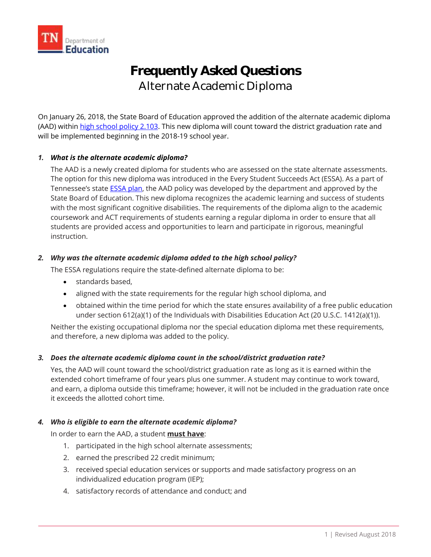

# **Frequently Asked Questions**  Alternate Academic Diploma

On January 26, 2018, the State Board of Education approved the addition of the alternate academic diploma (AAD) withi[n high school policy 2.103.](https://www.tn.gov/content/dam/tn/stateboardofeducation/documents/sbe_meeting_january_26_2018/1-26-18%20III%20C%20High%20School%20Policy%202.103%20Cover%20Sheet.pdf) This new diploma will count toward the district graduation rate and will be implemented beginning in the 2018-19 school year.

# *1. What is the alternate academic diploma?*

The AAD is a newly created diploma for students who are assessed on the state alternate assessments. The option for this new diploma was introduced in the Every Student Succeeds Act (ESSA). As a part of Tennessee's state [ESSA plan,](https://www.tn.gov/content/dam/tn/education/documents/TN_ESSA_State_Plan_Approved.pdf) the AAD policy was developed by the department and approved by the State Board of Education. This new diploma recognizes the academic learning and success of students with the most significant cognitive disabilities. The requirements of the diploma align to the academic coursework and ACT requirements of students earning a regular diploma in order to ensure that all students are provided access and opportunities to learn and participate in rigorous, meaningful instruction.

## *2. Why was the alternate academic diploma added to the high school policy?*

The ESSA regulations require the state-defined alternate diploma to be:

- standards based,
- aligned with the state requirements for the regular high school diploma, and
- obtained within the time period for which the state ensures availability of a free public education under section 612(a)(1) of the Individuals with Disabilities Education Act (20 U.S.C. 1412(a)(1)).

Neither the existing occupational diploma nor the special education diploma met these requirements, and therefore, a new diploma was added to the policy.

#### *3. Does the alternate academic diploma count in the school/district graduation rate?*

Yes, the AAD will count toward the school/district graduation rate as long as it is earned within the extended cohort timeframe of four years plus one summer. A student may continue to work toward, and earn, a diploma outside this timeframe; however, it will not be included in the graduation rate once it exceeds the allotted cohort time.

#### *4. Who is eligible to earn the alternate academic diploma?*

In order to earn the AAD, a student **must have**:

- 1. participated in the high school alternate assessments;
- 2. earned the prescribed 22 credit minimum;
- 3. received special education services or supports and made satisfactory progress on an individualized education program (IEP);
- 4. satisfactory records of attendance and conduct; and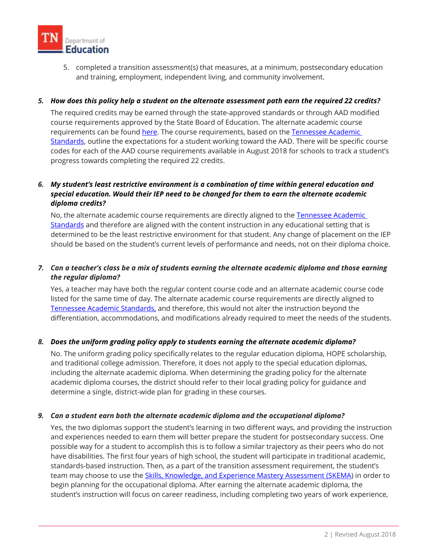

5. completed a transition assessment(s) that measures, at a minimum, postsecondary education and training, employment, independent living, and community involvement.

## *5. How does this policy help a student on the alternate assessment path earn the required 22 credits?*

 The required credits may be earned through the state-approved standards or through AAD modified [Standards,](https://www.tn.gov/content/tn/education/instruction/academic-standards.html) outline the expectations for a student working toward the AAD. There will be specific course course requirements approved by the State Board of Education. The alternate academic course requirements can be found [here.](https://www.tn.gov/education/student-support/special-education/special-education-tools-resources.html) The course requirements, based on the [Tennessee Academic](https://www.tn.gov/content/tn/education/instruction/academic-standards.html)  codes for each of the AAD course requirements available in August 2018 for schools to track a student's progress towards completing the required 22 credits.

# *6. My student's least restrictive environment is a combination of time within general education and special education. Would their IEP need to be changed for them to earn the alternate academic diploma credits?*

No, the alternate academic course requirements are directly aligned to the Tennessee Academic [Standards](https://www.tn.gov/content/tn/education/instruction/academic-standards.html) and therefore are aligned with the content instruction in any educational setting that is determined to be the least restrictive environment for that student. Any change of placement on the IEP should be based on the student's current levels of performance and needs, not on their diploma choice.

# *7. Can a teacher's class be a mix of students earning the alternate academic diploma and those earning the regular diploma?*

Yes, a teacher may have both the regular content course code and an alternate academic course code listed for the same time of day. The alternate academic course requirements are directly aligned to [Tennessee Academic Standards,](https://www.tn.gov/content/tn/education/instruction/academic-standards.html) and therefore, this would not alter the instruction beyond the differentiation, accommodations, and modifications already required to meet the needs of the students.

# *8. Does the uniform grading policy apply to students earning the alternate academic diploma?*

No. The uniform grading policy specifically relates to the regular education diploma, HOPE scholarship, and traditional college admission. Therefore, it does not apply to the special education diplomas, including the alternate academic diploma. When determining the grading policy for the alternate academic diploma courses, the district should refer to their local grading policy for guidance and determine a single, district-wide plan for grading in these courses.

#### *9. Can a student earn both the alternate academic diploma and the occupational diploma?*

Yes, the two diplomas support the student's learning in two different ways, and providing the instruction and experiences needed to earn them will better prepare the student for postsecondary success. One possible way for a student to accomplish this is to follow a similar trajectory as their peers who do not have disabilities. The first four years of high school, the student will participate in traditional academic, standards-based instruction. Then, as a part of the transition assessment requirement, the student's team may choose to use the *Skills, Knowledge, and Experience Mastery Assessment (SKEMA)* in order to begin planning for the occupational diploma. After earning the alternate academic diploma, the student's instruction will focus on career readiness, including completing two years of work experience,